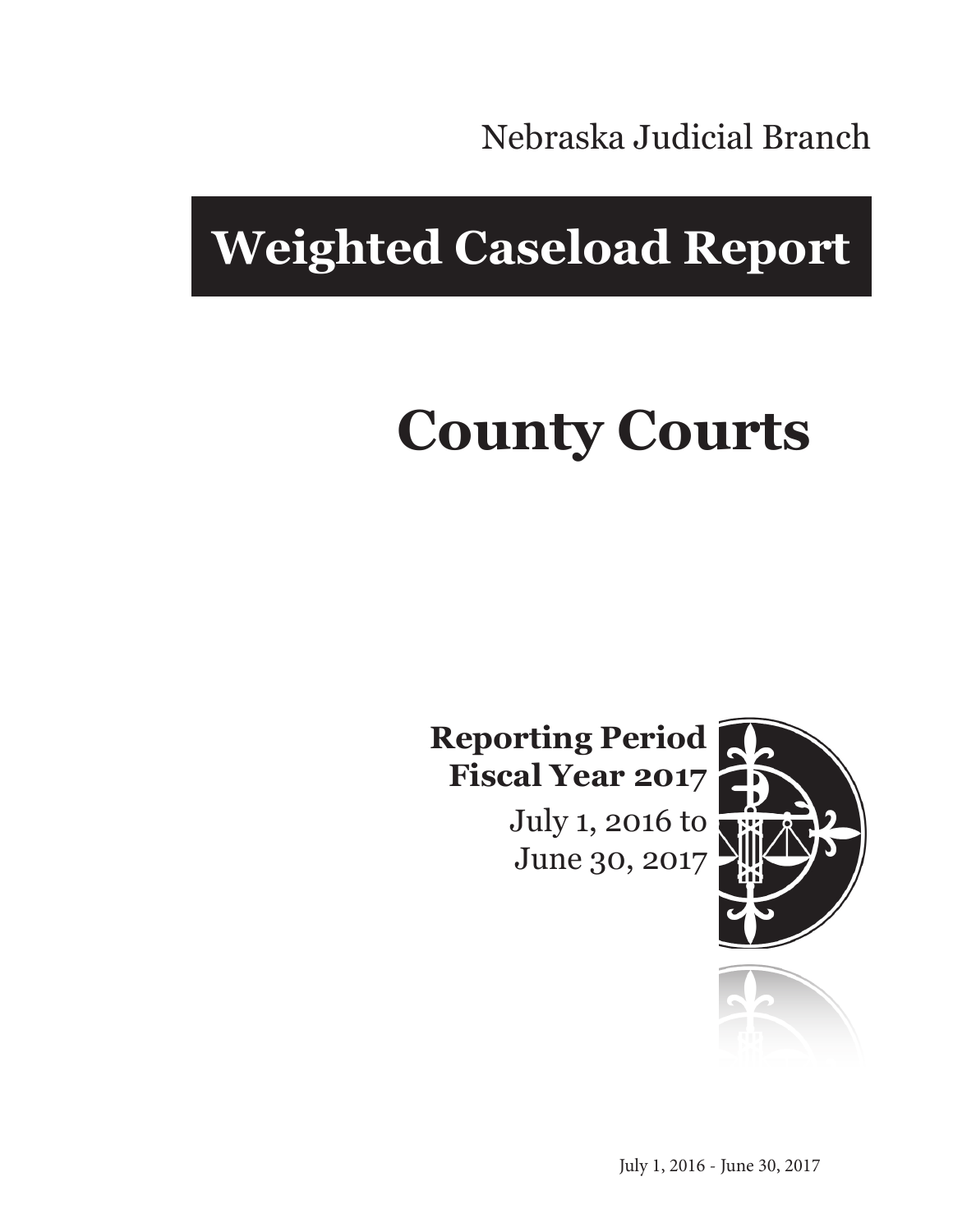Nebraska Judicial Branch

# **Weighted Caseload Report**

# **County Courts**

**Reporting Period Fiscal Year 2017**

> July 1, 2016 to June 30, 2017



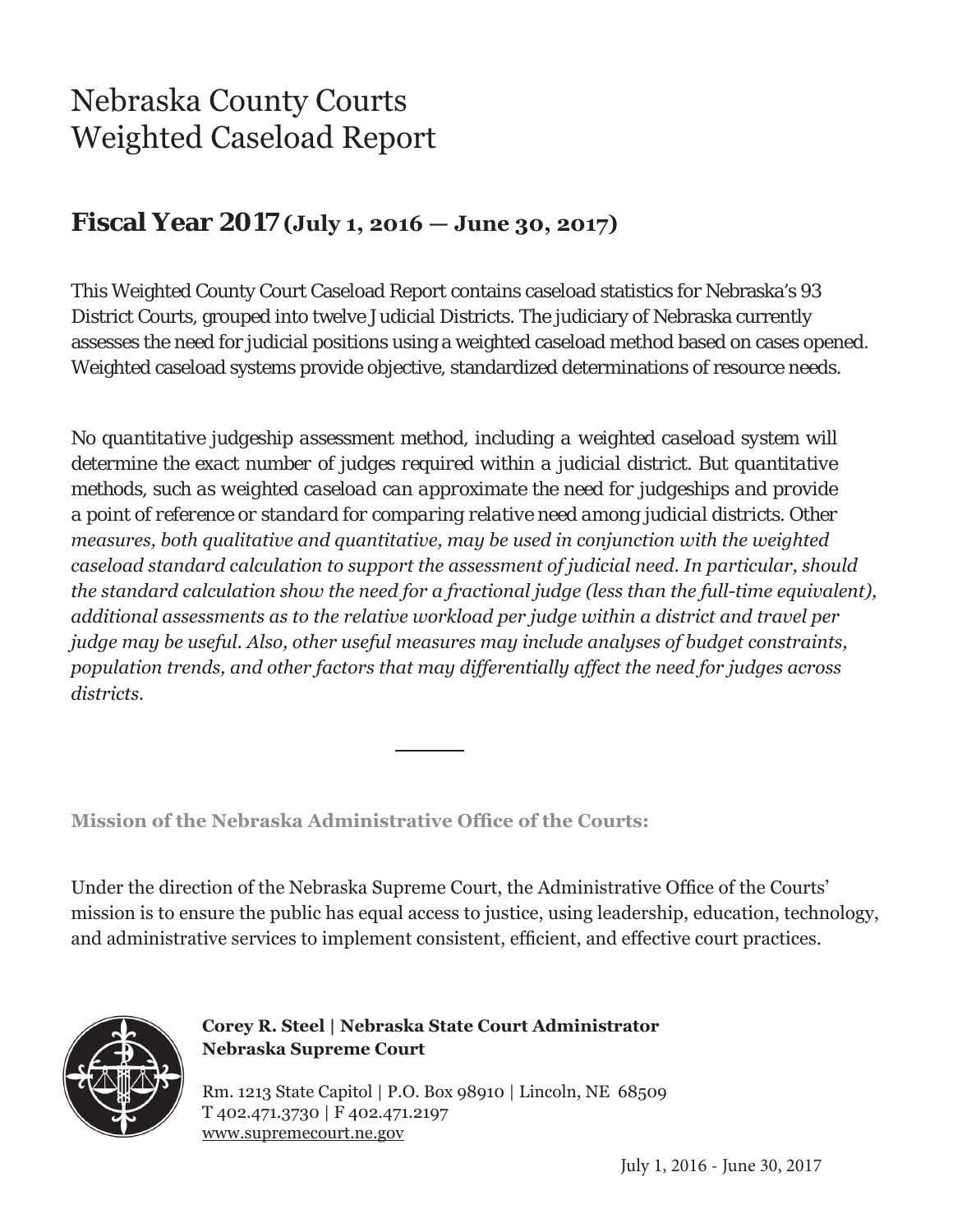## Nebraska County Courts Weighted Caseload Report

#### **Fiscal Year 2017 (July 1, 2016 — June 30, 2017)**

This Weighted County Court Caseload Report contains caseload statistics for Nebraska's 93 District Courts, grouped into twelve Judicial Districts. The judiciary of Nebraska currently assesses the need for judicial positions using a weighted caseload method based on cases opened. Weighted caseload systems provide objective, standardized determinations of resource needs.

*No quantitative judgeship assessment method, including a weighted caseload system will determine the exact number of judges required within a judicial district. But quantitative methods, such as weighted caseload can approximate the need for judgeships and provide a point of reference or standard for comparing relative need among judicial districts. Other measures, both qualitative and quantitative, may be used in conjunction with the weighted caseload standard calculation to support the assessment of judicial need. In particular, should the standard calculation show the need for a fractional judge (less than the full-time equivalent), additional assessments as to the relative workload per judge within a district and travel per judge may be useful. Also, other useful measures may include analyses of budget constraints, population trends, and other factors that may differentially affect the need for judges across districts.*

**Mission of the Nebraska Administrative Office of the Courts:**

Under the direction of the Nebraska Supreme Court, the Administrative Office of the Courts' mission is to ensure the public has equal access to justice, using leadership, education, technology, and administrative services to implement consistent, efficient, and effective court practices.



**Corey R. Steel | Nebraska State Court Administrator Nebraska Supreme Court**

Rm. 1213 State Capitol | P.O. Box 98910 | Lincoln, NE 68509 T 402.471.3730 | F 402.471.2197 www.supremecourt.ne.gov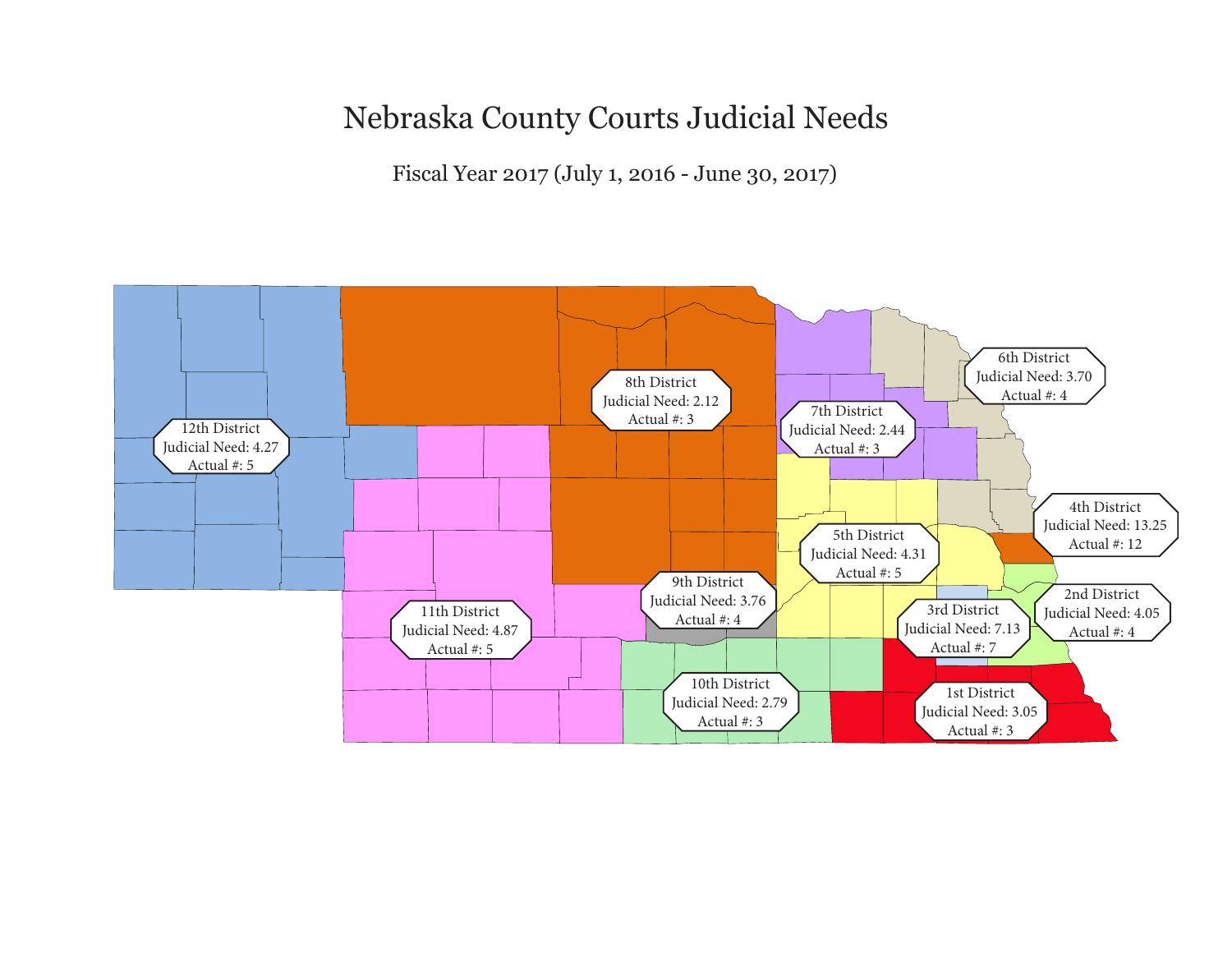### Nebraska County Courts Judicial Needs

Fiscal Year 2017 (July 1, 2016 - June 30, 2017)

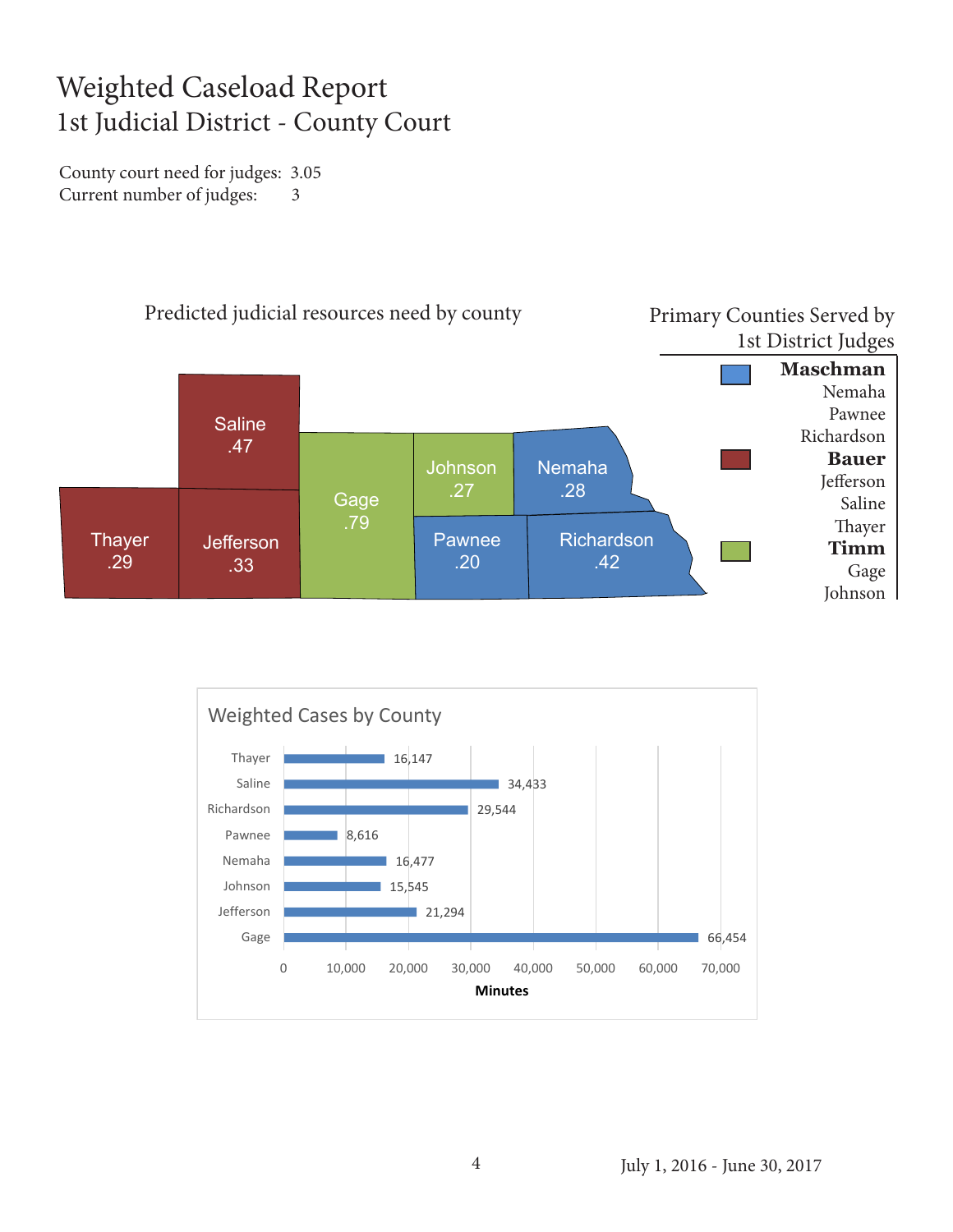#### Weighted Caseload Report 1st Judicial District - County Court

County court need for judges: 3.05 Current number of judges: 3



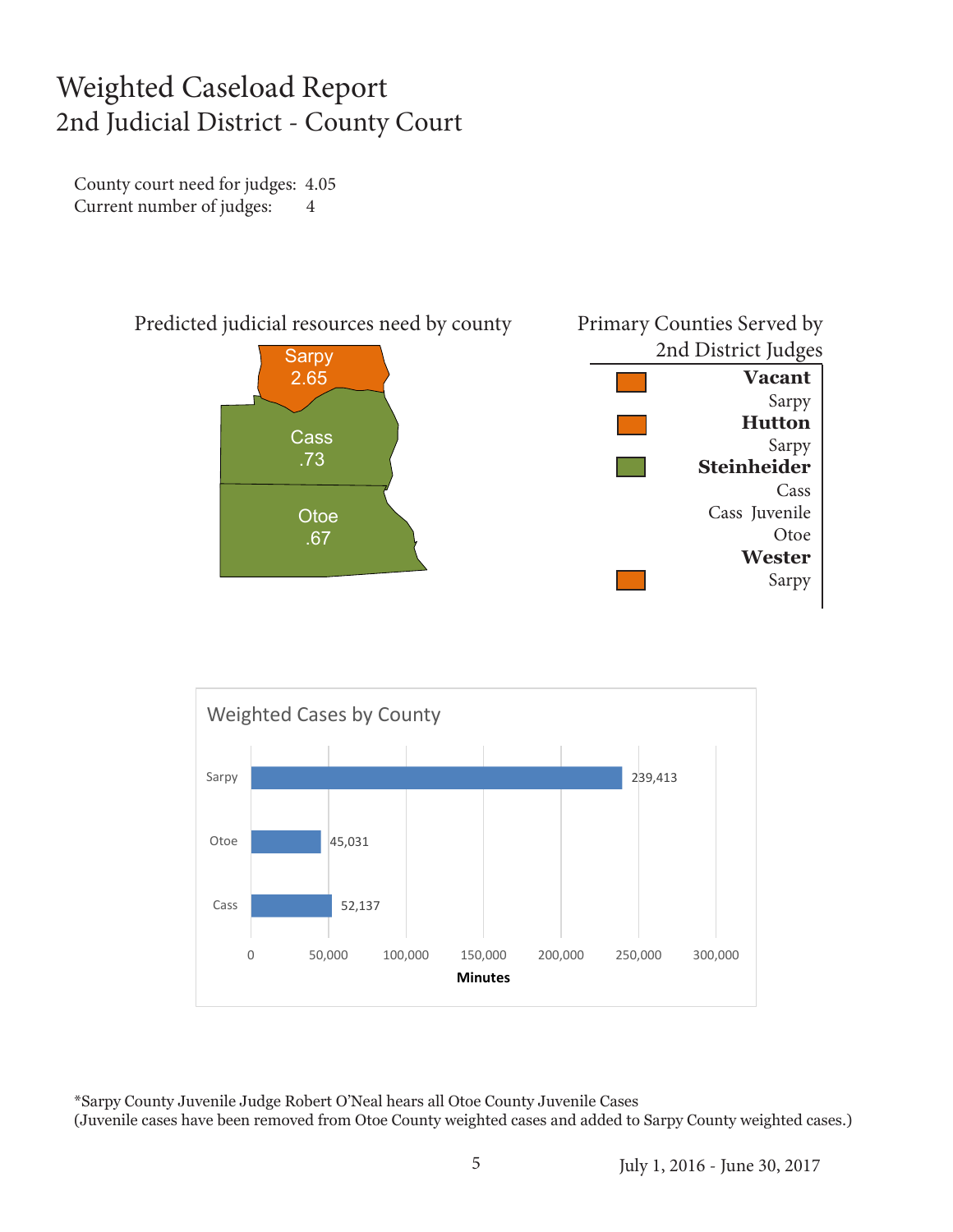#### Weighted Caseload Report 2nd Judicial District - County Court

County court need for judges: 4.05 Current number of judges: 4





\*Sarpy County Juvenile Judge Robert O'Neal hears all Otoe County Juvenile Cases (Juvenile cases have been removed from Otoe County weighted cases and added to Sarpy County weighted cases.)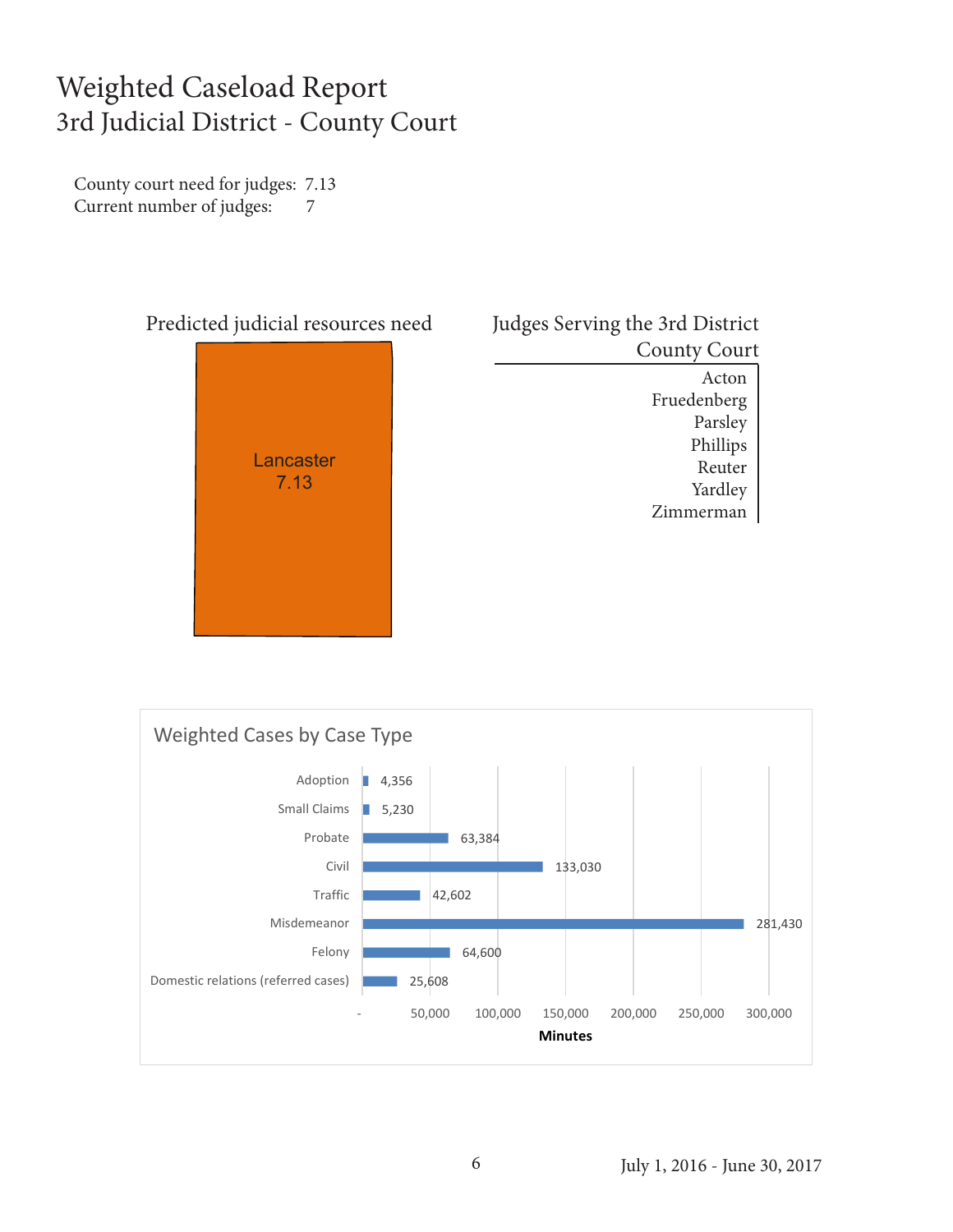#### Weighted Caseload Report 3rd Judicial District - County Court

County court need for judges: 7.13 Current number of judges: 7



| Judges Serving the 3rd District |
|---------------------------------|
| <b>County Court</b>             |
| Acton                           |
| Fruedenberg                     |
| Parsley                         |
| Phillips                        |
| Reuter                          |
| Yardley                         |
| Zimmerman                       |
|                                 |



#### July 1, 2016 - June 30, 2017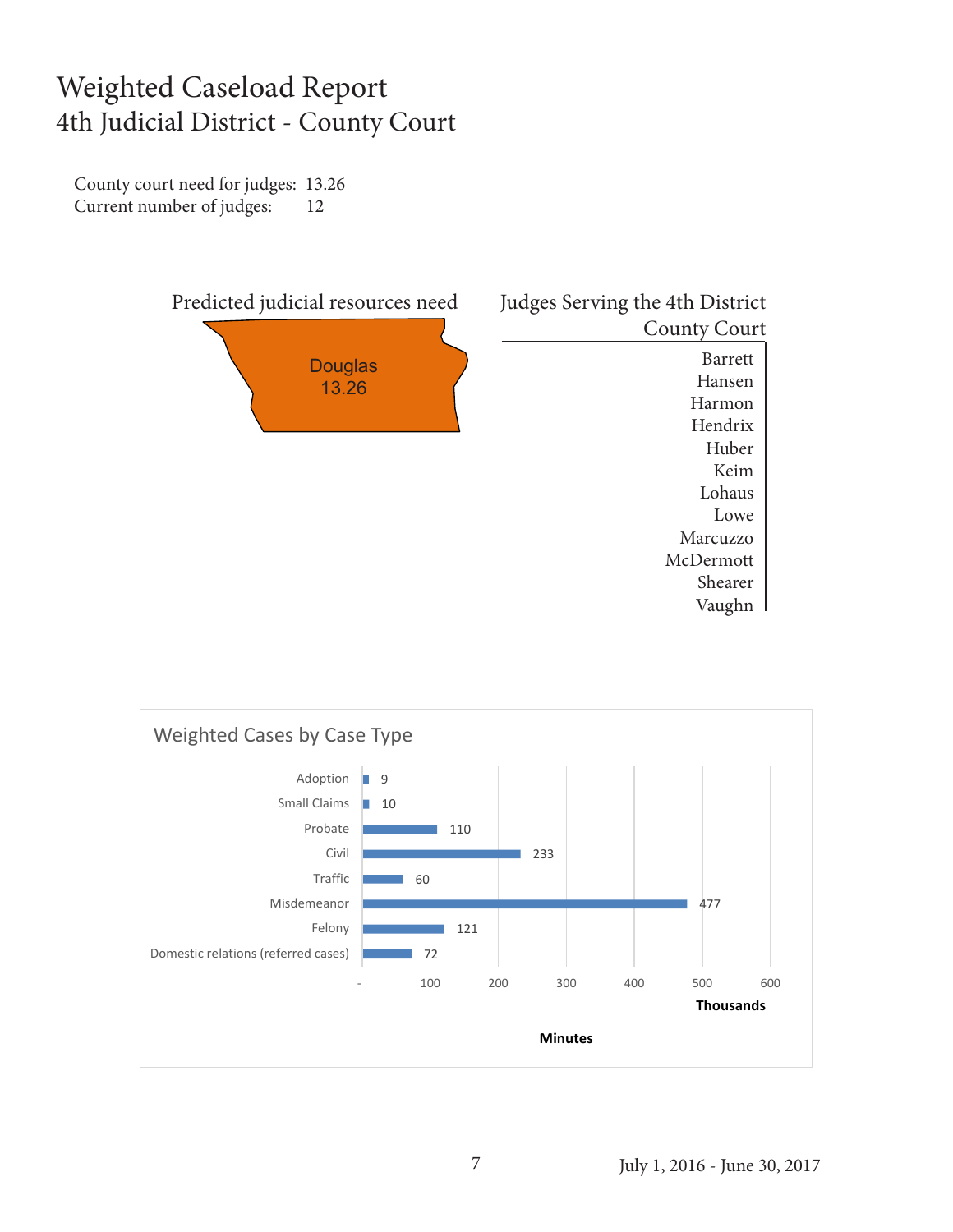#### Weighted Caseload Report 4th Judicial District - County Court

County court need for judges: 13.26 Current number of judges: 12



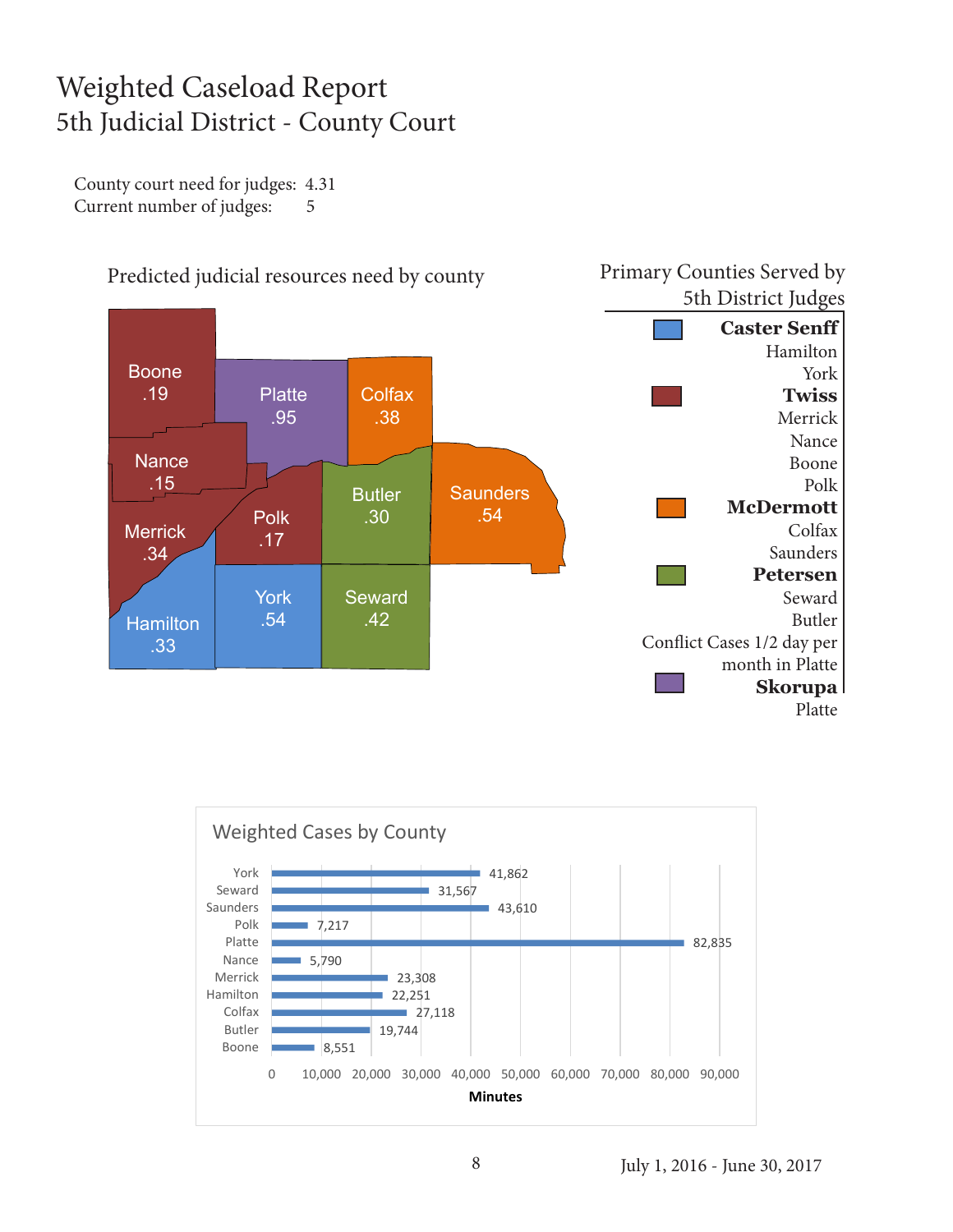#### Weighted Caseload Report 5th Judicial District - County Court

County court need for judges: 4.31 Current number of judges: 5



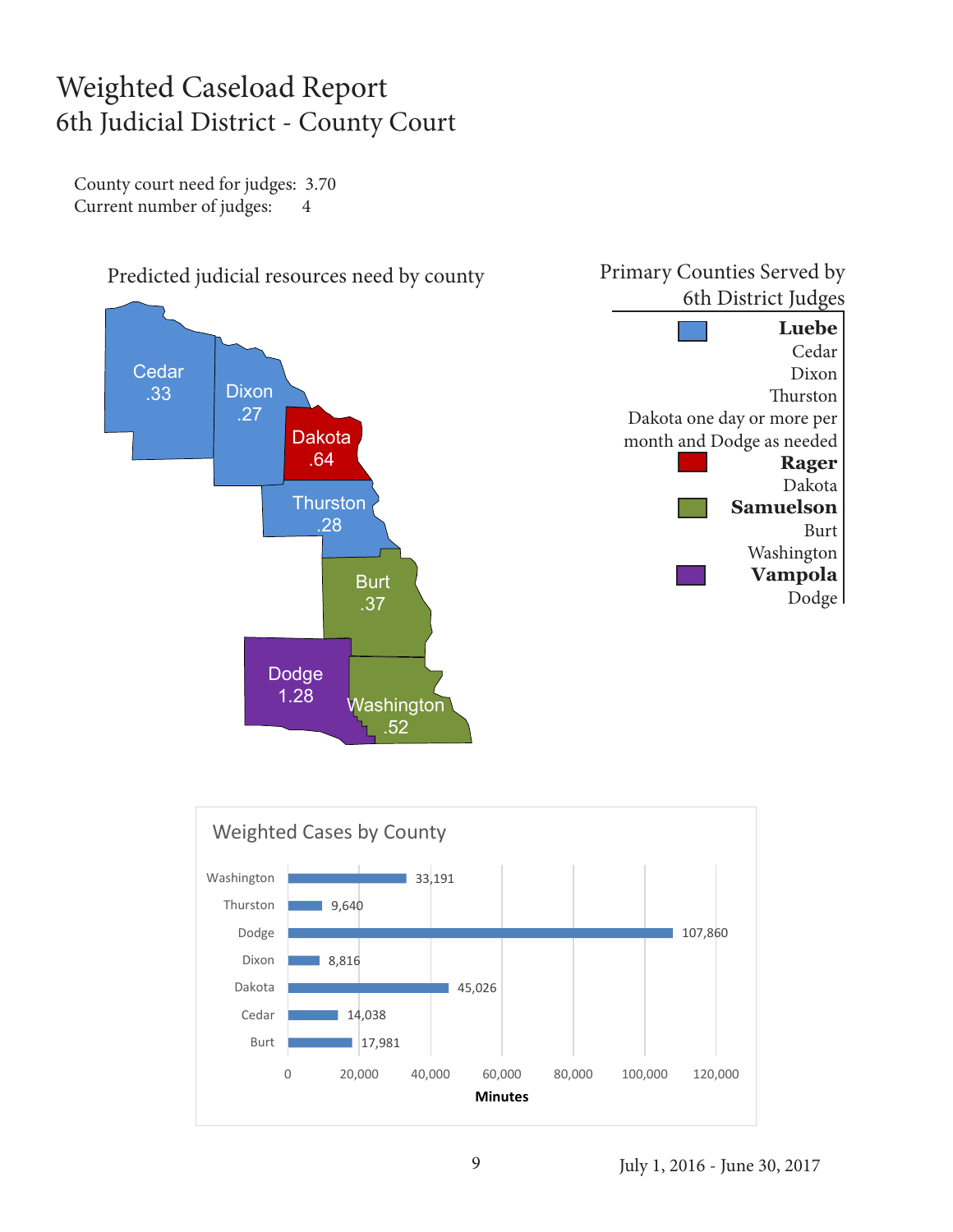#### Weighted Caseload Report 6th Judicial District - County Court

County court need for judges: 3.70 Current number of judges: 4

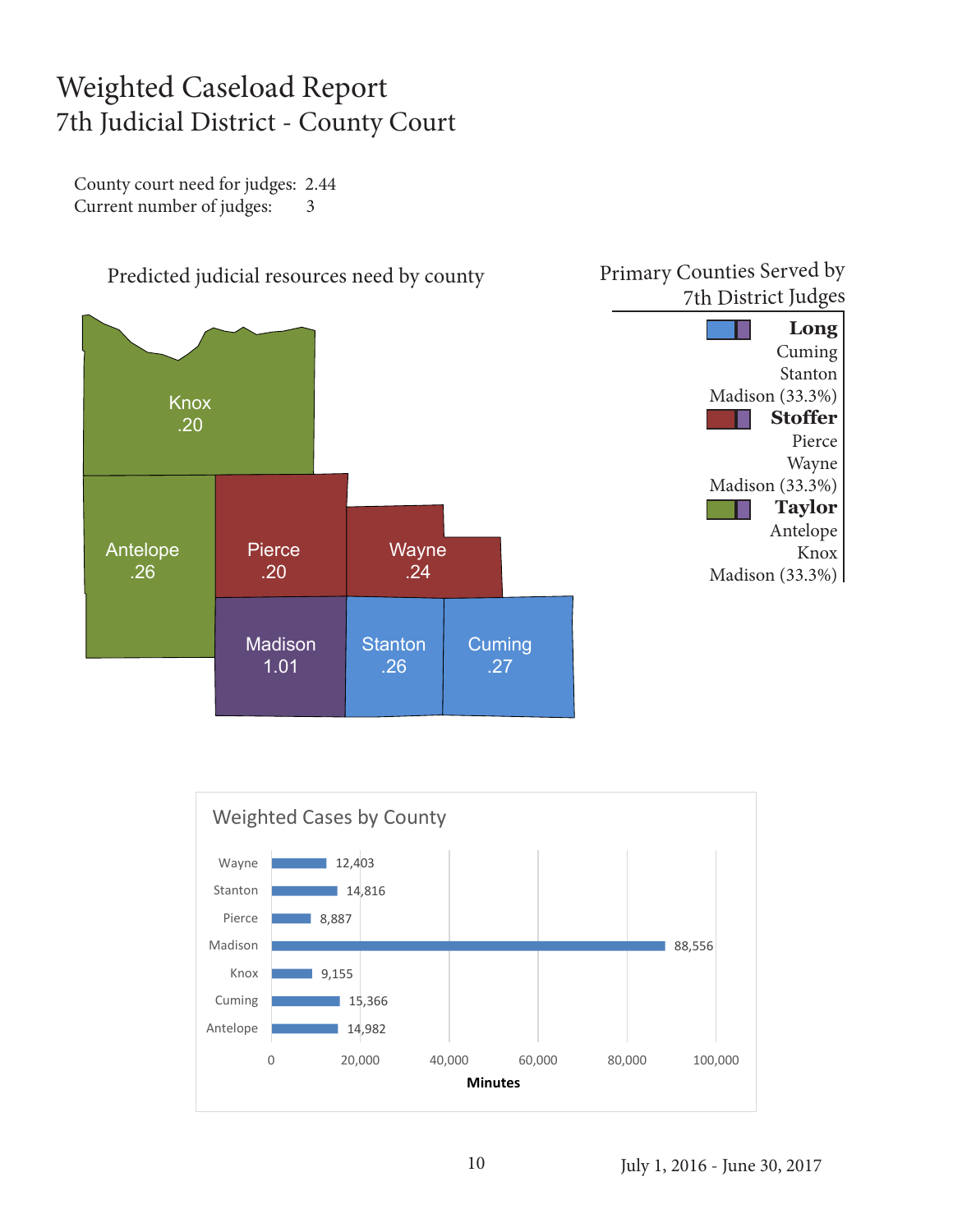#### Weighted Caseload Report 7th Judicial District - County Court

County court need for judges: 2.44 Current number of judges: 3





July 1, 2016 - June 30, 2017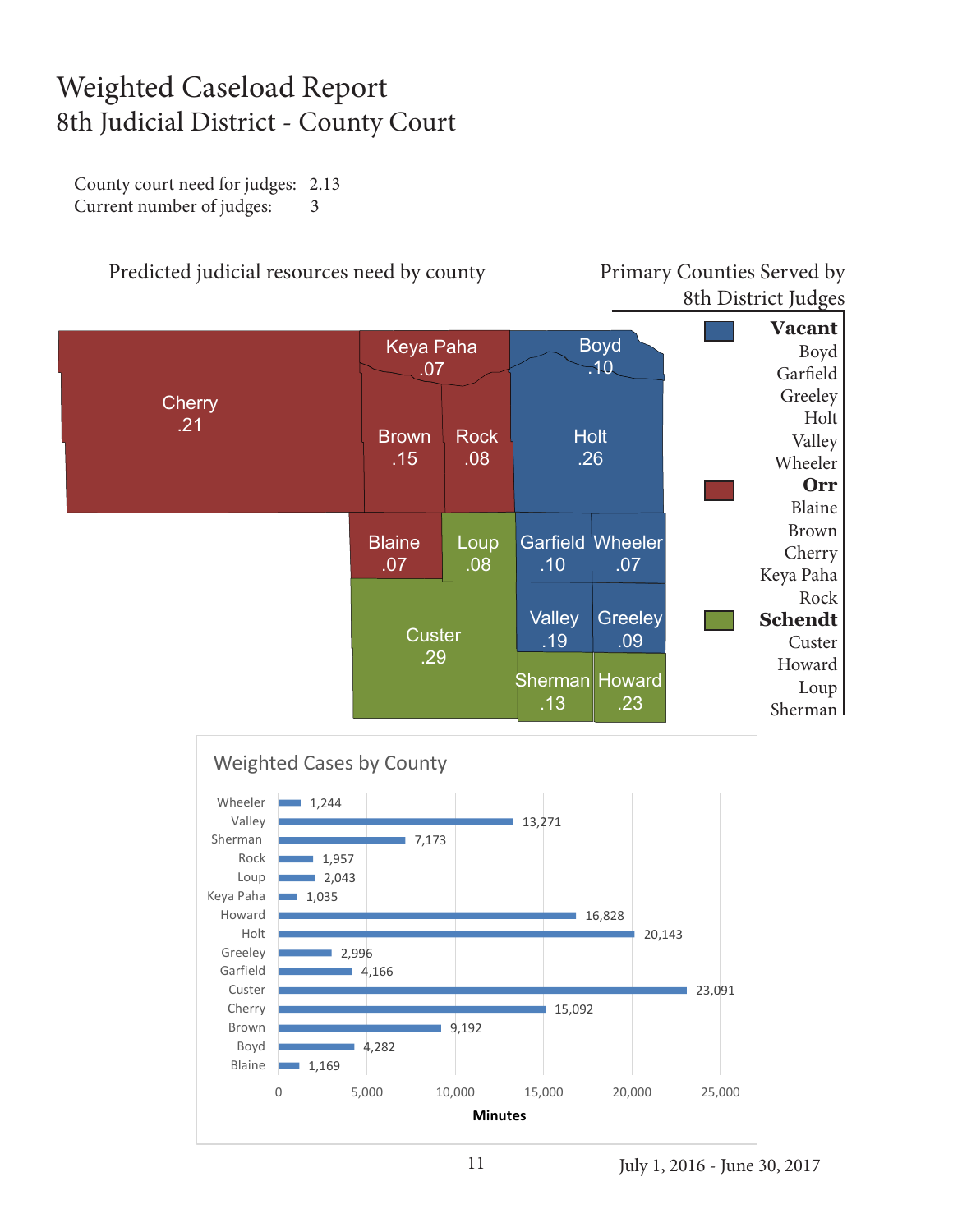#### Weighted Caseload Report 8th Judicial District - County Court

County court need for judges: 2.13 Current number of judges: 3

![](_page_10_Figure_2.jpeg)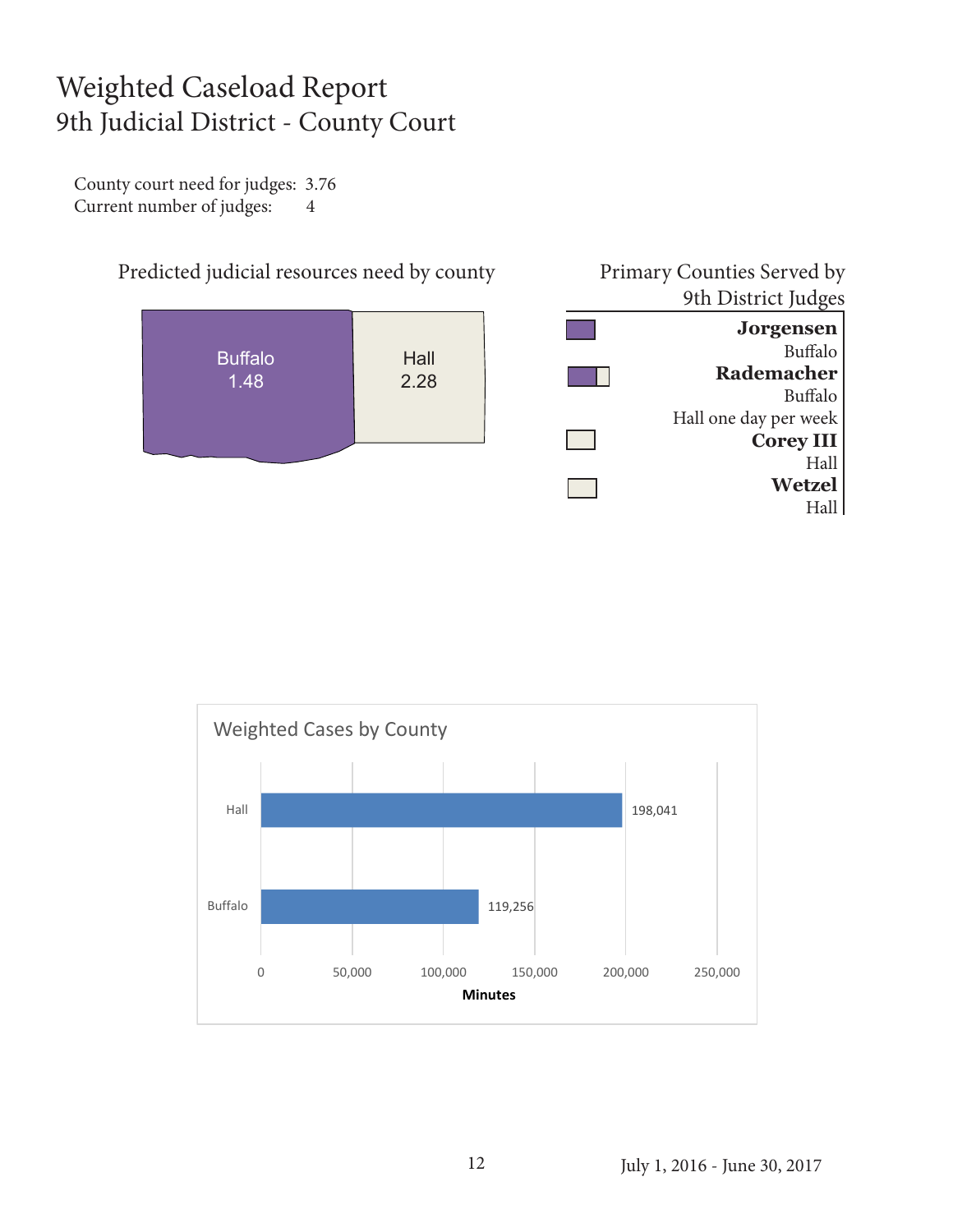#### Weighted Caseload Report 9th Judicial District - County Court

County court need for judges: 3.76 Current number of judges: 4

![](_page_11_Figure_2.jpeg)

![](_page_11_Figure_3.jpeg)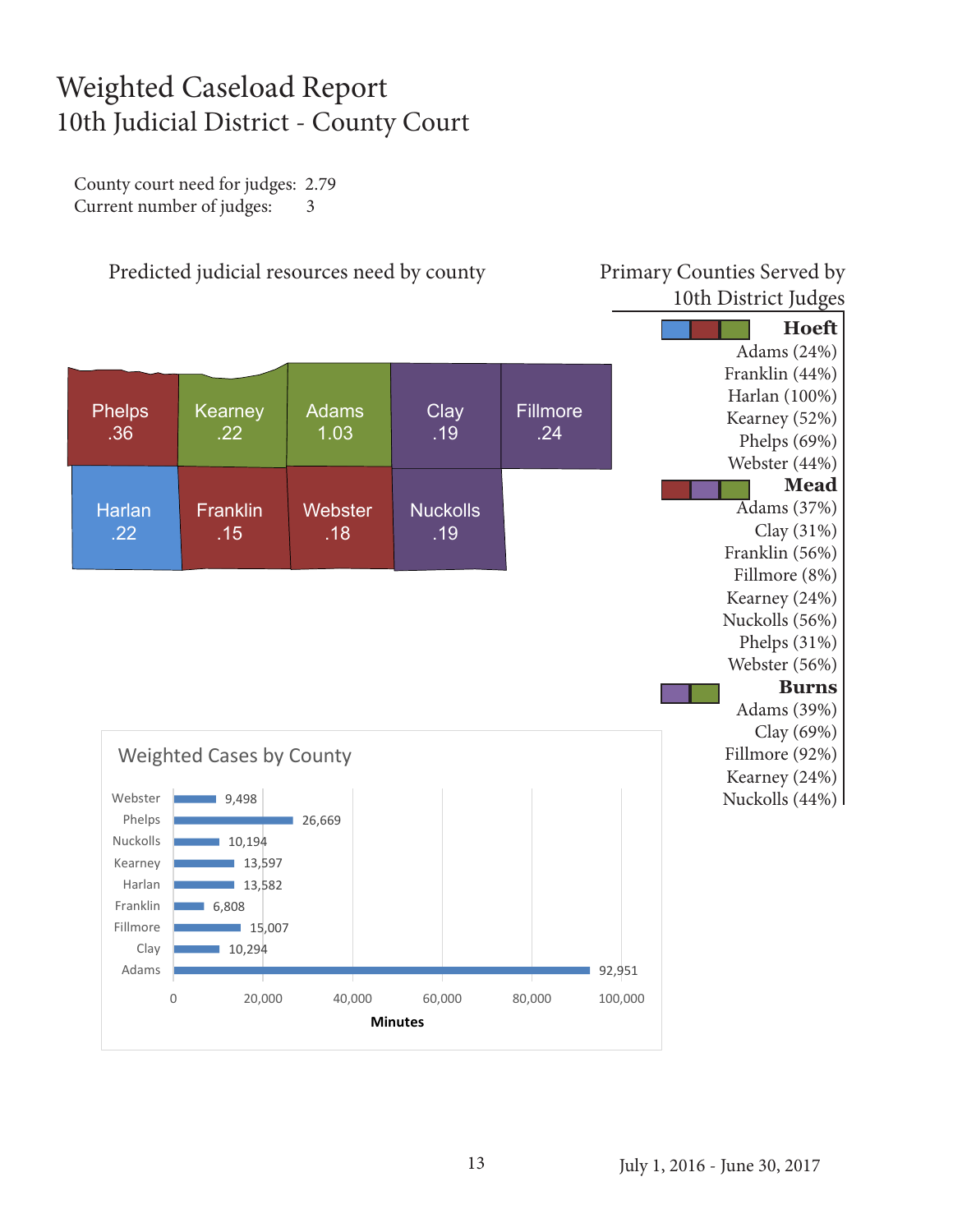#### Weighted Caseload Report 10th Judicial District - County Court

County court need for judges: 2.79 Current number of judges: 3

![](_page_12_Figure_2.jpeg)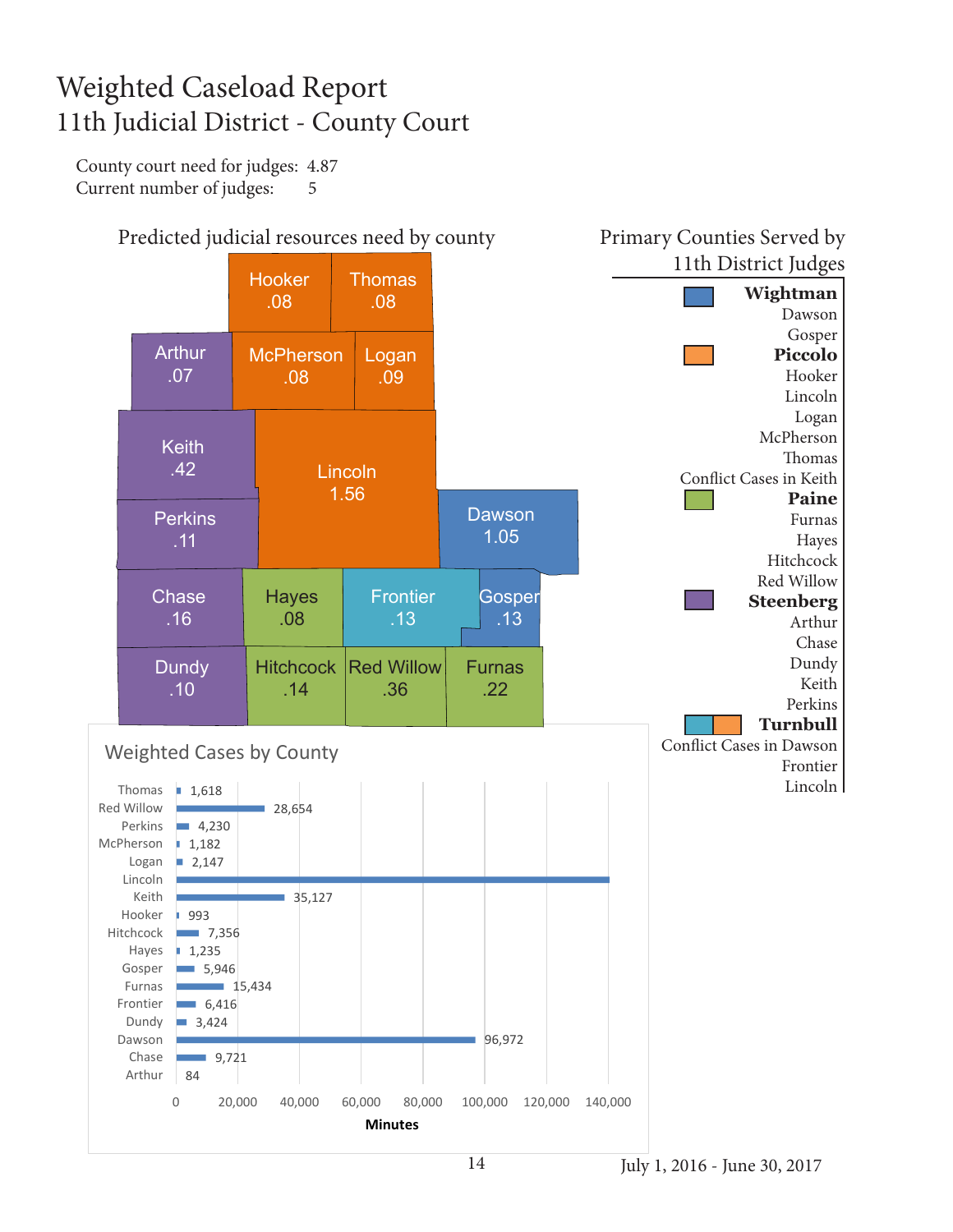### Weighted Caseload Report 11th Judicial District - County Court

County court need for judges: 4.87 Current number of judges: 5

![](_page_13_Figure_2.jpeg)